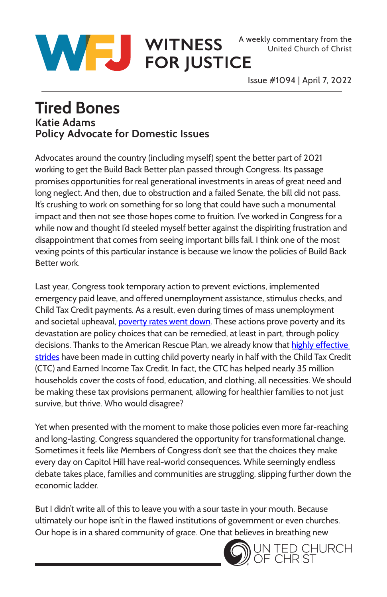



Issue #1094 | April 7, 2022

## **Tired Bones Katie Adams Policy Advocate for Domestic Issues**

Advocates around the country (including myself) spent the better part of 2021 working to get the Build Back Better plan passed through Congress. Its passage promises opportunities for real generational investments in areas of great need and long neglect. And then, due to obstruction and a failed Senate, the bill did not pass. It's crushing to work on something for so long that could have such a monumental impact and then not see those hopes come to fruition. I've worked in Congress for a while now and thought I'd steeled myself better against the dispiriting frustration and disappointment that comes from seeing important bills fail. I think one of the most vexing points of this particular instance is because we know the policies of Build Back Better work.

Last year, Congress took temporary action to prevent evictions, implemented emergency paid leave, and offered unemployment assistance, stimulus checks, and Child Tax Credit payments. As a result, even during times of mass unemployment and societal upheaval, [poverty rates went down.](https://static1.squarespace.com/static/5743308460b5e922a25a6dc7/t/604aa2465cfc4a35b8a1c236/1615503943944/Poverty-Reduction-Analysis-American-Rescue-Plan-CPSP-2021.pdf) These actions prove poverty and its devastation are policy choices that can be remedied, at least in part, through policy decisions. Thanks to the American Rescue Plan, we already know that highly effective [strides](https://www.census.gov/library/stories/2021/08/economic-hardship-declined-in-households-with-children-as-child-tax-credit-payments-arrived.html) have been made in cutting child poverty nearly in half with the Child Tax Credit (CTC) and Earned Income Tax Credit. In fact, the CTC has helped nearly 35 million households cover the costs of food, education, and clothing, all necessities. We should be making these tax provisions permanent, allowing for healthier families to not just survive, but thrive. Who would disagree?

Yet when presented with the moment to make those policies even more far-reaching and long-lasting, Congress squandered the opportunity for transformational change. Sometimes it feels like Members of Congress don't see that the choices they make every day on Capitol Hill have real-world consequences. While seemingly endless debate takes place, families and communities are struggling, slipping further down the economic ladder.

But I didn't write all of this to leave you with a sour taste in your mouth. Because ultimately our hope isn't in the flawed institutions of government or even churches. Our hope is in a shared community of grace. One that believes in breathing new